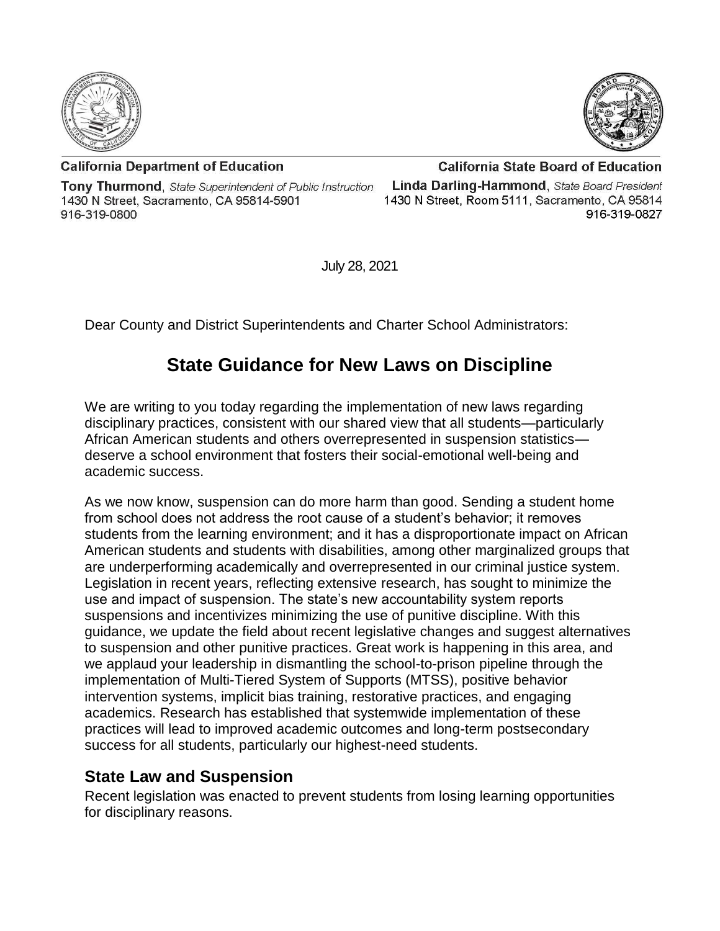



**California Department of Education** 

**Tony Thurmond, State Superintendent of Public Instruction** 1430 N Street, Sacramento, CA 95814-5901 916-319-0800

**California State Board of Education** Linda Darling-Hammond, State Board President 1430 N Street, Room 5111, Sacramento, CA 95814 916-319-0827

July 28, 2021

Dear County and District Superintendents and Charter School Administrators:

## **State Guidance for New Laws on Discipline**

We are writing to you today regarding the implementation of new laws regarding disciplinary practices, consistent with our shared view that all students—particularly African American students and others overrepresented in suspension statistics deserve a school environment that fosters their social-emotional well-being and academic success.

As we now know, suspension can do more harm than good. Sending a student home from school does not address the root cause of a student's behavior; it removes students from the learning environment; and it has a disproportionate impact on African American students and students with disabilities, among other marginalized groups that are underperforming academically and overrepresented in our criminal justice system. Legislation in recent years, reflecting extensive research, has sought to minimize the use and impact of suspension. The state's new accountability system reports suspensions and incentivizes minimizing the use of punitive discipline. With this guidance, we update the field about recent legislative changes and suggest alternatives to suspension and other punitive practices. Great work is happening in this area, and we applaud your leadership in dismantling the school-to-prison pipeline through the implementation of Multi-Tiered System of Supports (MTSS), positive behavior intervention systems, implicit bias training, restorative practices, and engaging academics. Research has established that systemwide implementation of these practices will lead to improved academic outcomes and long-term postsecondary success for all students, particularly our highest-need students.

## **State Law and Suspension**

Recent legislation was enacted to prevent students from losing learning opportunities for disciplinary reasons.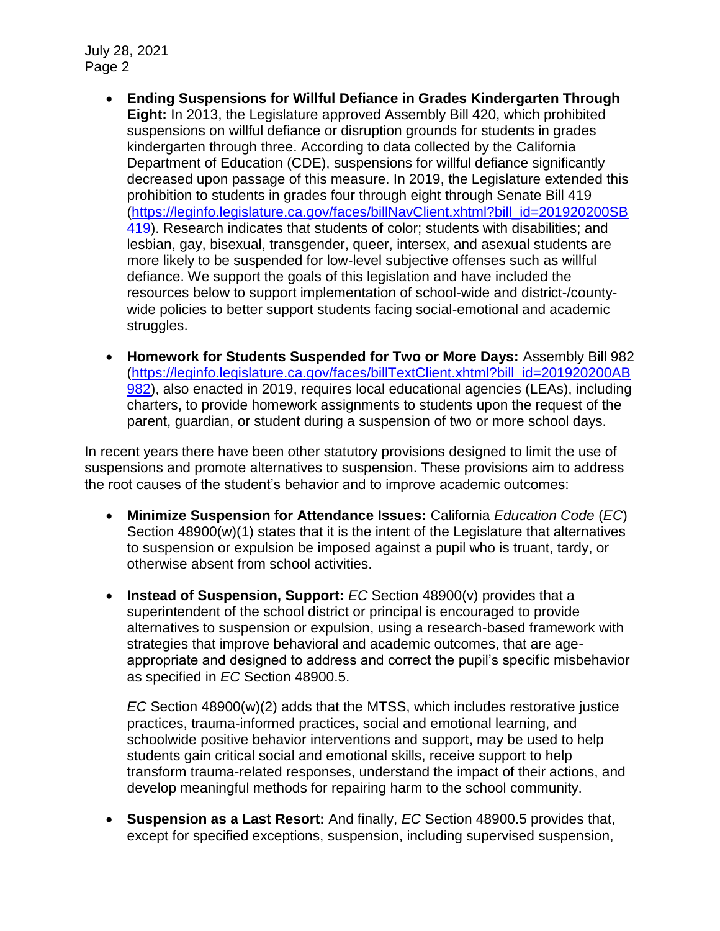- **Ending Suspensions for Willful Defiance in Grades Kindergarten Through Eight:** In 2013, the Legislature approved Assembly Bill 420, which prohibited suspensions on willful defiance or disruption grounds for students in grades kindergarten through three. According to data collected by the California Department of Education (CDE), suspensions for willful defiance significantly decreased upon passage of this measure. In 2019, the Legislature extended this prohibition to students in grades four through eight through Senate Bill 419 [\(https://leginfo.legislature.ca.gov/faces/billNavClient.xhtml?bill\\_id=201920200SB](https://leginfo.legislature.ca.gov/faces/billNavClient.xhtml?bill_id=201920200SB419) [419\)](https://leginfo.legislature.ca.gov/faces/billNavClient.xhtml?bill_id=201920200SB419). Research indicates that students of color; students with disabilities; and lesbian, gay, bisexual, transgender, queer, intersex, and asexual students are more likely to be suspended for low-level subjective offenses such as willful defiance. We support the goals of this legislation and have included the resources below to support implementation of school-wide and district-/countywide policies to better support students facing social-emotional and academic struggles.
- **Homework for Students Suspended for Two or More Days:** Assembly Bill 982 [\(https://leginfo.legislature.ca.gov/faces/billTextClient.xhtml?bill\\_id=201920200AB](https://leginfo.legislature.ca.gov/faces/billTextClient.xhtml?bill_id=201920200AB982) [982\)](https://leginfo.legislature.ca.gov/faces/billTextClient.xhtml?bill_id=201920200AB982), also enacted in 2019, requires local educational agencies (LEAs), including charters, to provide homework assignments to students upon the request of the parent, guardian, or student during a suspension of two or more school days.

In recent years there have been other statutory provisions designed to limit the use of suspensions and promote alternatives to suspension. These provisions aim to address the root causes of the student's behavior and to improve academic outcomes:

- **Minimize Suspension for Attendance Issues:** California *Education Code* (*EC*) Section 48900(w)(1) states that it is the intent of the Legislature that alternatives to suspension or expulsion be imposed against a pupil who is truant, tardy, or otherwise absent from school activities.
- **Instead of Suspension, Support:** *EC* Section 48900(v) provides that a superintendent of the school district or principal is encouraged to provide alternatives to suspension or expulsion, using a research-based framework with strategies that improve behavioral and academic outcomes, that are ageappropriate and designed to address and correct the pupil's specific misbehavior as specified in *EC* Section 48900.5.

*EC* Section 48900(w)(2) adds that the MTSS, which includes restorative justice practices, trauma-informed practices, social and emotional learning, and schoolwide positive behavior interventions and support, may be used to help students gain critical social and emotional skills, receive support to help transform trauma-related responses, understand the impact of their actions, and develop meaningful methods for repairing harm to the school community.

• **Suspension as a Last Resort:** And finally, *EC* Section 48900.5 provides that, except for specified exceptions, suspension, including supervised suspension,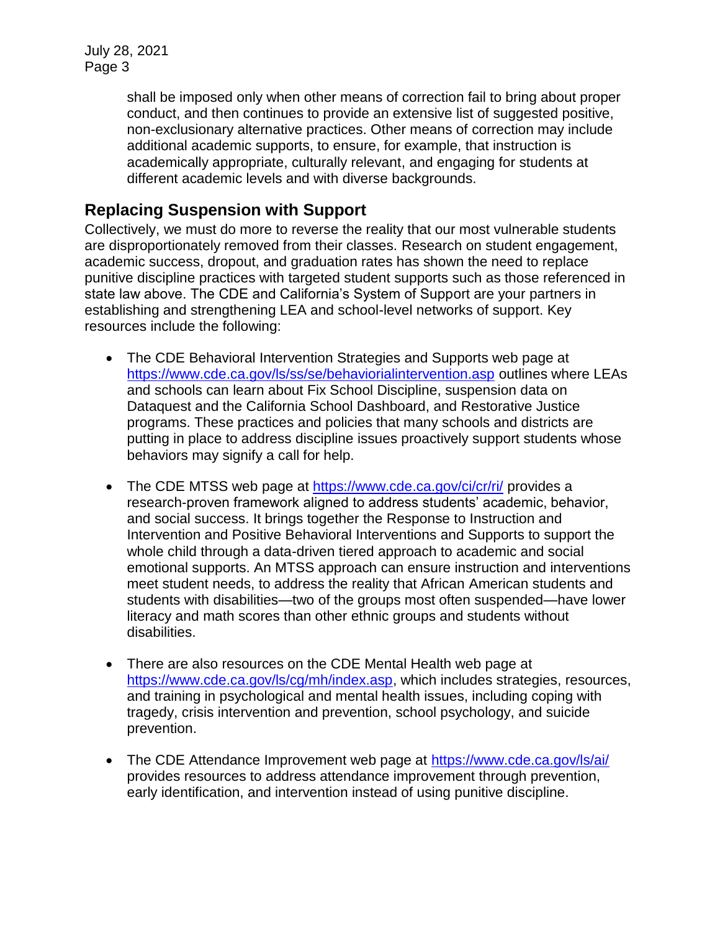> shall be imposed only when other means of correction fail to bring about proper conduct, and then continues to provide an extensive list of suggested positive, non-exclusionary alternative practices. Other means of correction may include additional academic supports, to ensure, for example, that instruction is academically appropriate, culturally relevant, and engaging for students at different academic levels and with diverse backgrounds.

## **Replacing Suspension with Support**

Collectively, we must do more to reverse the reality that our most vulnerable students are disproportionately removed from their classes. Research on student engagement, academic success, dropout, and graduation rates has shown the need to replace punitive discipline practices with targeted student supports such as those referenced in state law above. The CDE and California's System of Support are your partners in establishing and strengthening LEA and school-level networks of support. Key resources include the following:

- The CDE Behavioral Intervention Strategies and Supports web page at <https://www.cde.ca.gov/ls/ss/se/behaviorialintervention.asp> outlines where LEAs and schools can learn about Fix School Discipline, suspension data on Dataquest and the California School Dashboard, and Restorative Justice programs. These practices and policies that many schools and districts are putting in place to address discipline issues proactively support students whose behaviors may signify a call for help.
- The CDE MTSS web page at<https://www.cde.ca.gov/ci/cr/ri/> provides a research-proven framework aligned to address students' academic, behavior, and social success. It brings together the Response to Instruction and Intervention and Positive Behavioral Interventions and Supports to support the whole child through a data-driven tiered approach to academic and social emotional supports. An MTSS approach can ensure instruction and interventions meet student needs, to address the reality that African American students and students with disabilities—two of the groups most often suspended—have lower literacy and math scores than other ethnic groups and students without disabilities.
- There are also resources on the CDE Mental Health web page at [https://www.cde.ca.gov/ls/cg/mh/index.asp,](https://www.cde.ca.gov/ls/cg/mh/index.asp) which includes strategies, resources, and training in psychological and mental health issues, including coping with tragedy, crisis intervention and prevention, school psychology, and suicide prevention.
- The CDE Attendance Improvement web page at<https://www.cde.ca.gov/ls/ai/> provides resources to address attendance improvement through prevention, early identification, and intervention instead of using punitive discipline.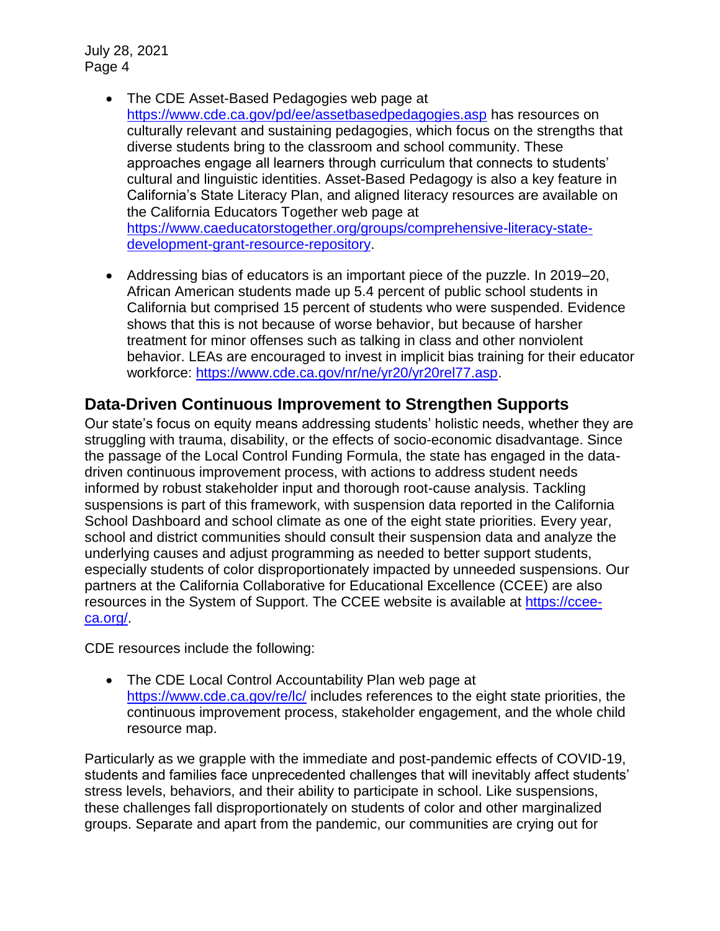- The CDE Asset-Based Pedagogies web page at <https://www.cde.ca.gov/pd/ee/assetbasedpedagogies.asp> has resources on culturally relevant and sustaining pedagogies, which focus on the strengths that diverse students bring to the classroom and school community. These approaches engage all learners through curriculum that connects to students' cultural and linguistic identities. Asset-Based Pedagogy is also a key feature in California's State Literacy Plan, and aligned literacy resources are available on the California Educators Together web page at [https://www.caeducatorstogether.org/groups/comprehensive-literacy-state](https://www.caeducatorstogether.org/groups/comprehensive-literacy-state-development-grant-resource-repository)[development-grant-resource-repository.](https://www.caeducatorstogether.org/groups/comprehensive-literacy-state-development-grant-resource-repository)
- Addressing bias of educators is an important piece of the puzzle. In 2019–20, African American students made up 5.4 percent of public school students in California but comprised 15 percent of students who were suspended. Evidence shows that this is not because of worse behavior, but because of harsher treatment for minor offenses such as talking in class and other nonviolent behavior. LEAs are encouraged to invest in implicit bias training for their educator workforce: [https://www.cde.ca.gov/nr/ne/yr20/yr20rel77.asp.](https://www.cde.ca.gov/nr/ne/yr20/yr20rel77.asp)

## **Data-Driven Continuous Improvement to Strengthen Supports**

Our state's focus on equity means addressing students' holistic needs, whether they are struggling with trauma, disability, or the effects of socio-economic disadvantage. Since the passage of the Local Control Funding Formula, the state has engaged in the datadriven continuous improvement process, with actions to address student needs informed by robust stakeholder input and thorough root-cause analysis. Tackling suspensions is part of this framework, with suspension data reported in the California School Dashboard and school climate as one of the eight state priorities. Every year, school and district communities should consult their suspension data and analyze the underlying causes and adjust programming as needed to better support students, especially students of color disproportionately impacted by unneeded suspensions. Our partners at the California Collaborative for Educational Excellence (CCEE) are also resources in the System of Support. The CCEE website is available at [https://ccee](https://ccee-ca.org/)[ca.org/.](https://ccee-ca.org/)

CDE resources include the following:

• The CDE Local Control Accountability Plan web page at <https://www.cde.ca.gov/re/lc/> includes references to the eight state priorities, the continuous improvement process, stakeholder engagement, and the whole child resource map.

Particularly as we grapple with the immediate and post-pandemic effects of COVID-19, students and families face unprecedented challenges that will inevitably affect students' stress levels, behaviors, and their ability to participate in school. Like suspensions, these challenges fall disproportionately on students of color and other marginalized groups. Separate and apart from the pandemic, our communities are crying out for